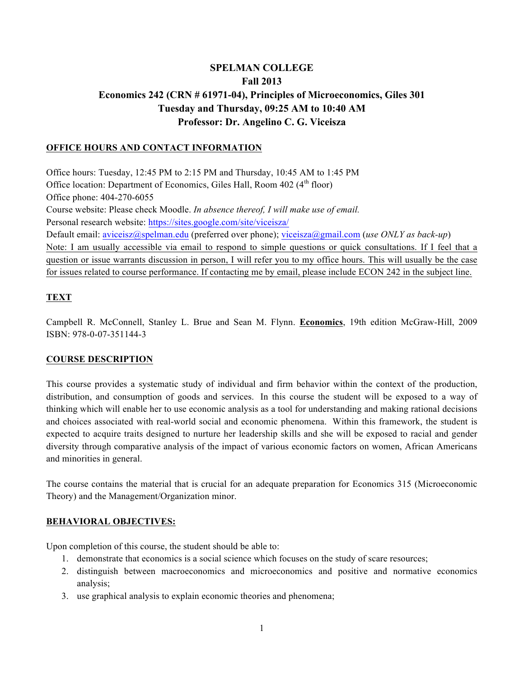# **SPELMAN COLLEGE Fall 2013 Economics 242 (CRN # 61971-04), Principles of Microeconomics, Giles 301 Tuesday and Thursday, 09:25 AM to 10:40 AM Professor: Dr. Angelino C. G. Viceisza**

### **OFFICE HOURS AND CONTACT INFORMATION**

Office hours: Tuesday, 12:45 PM to 2:15 PM and Thursday, 10:45 AM to 1:45 PM Office location: Department of Economics, Giles Hall, Room  $402 \, (4^{\text{th}} \, \text{floor})$ Office phone: 404-270-6055 Course website: Please check Moodle. *In absence thereof, I will make use of email.*  Personal research website: https://sites.google.com/site/viceisza/ Default email: aviceisz@spelman.edu (preferred over phone); viceisza@gmail.com (*use ONLY as back-up*) Note: I am usually accessible via email to respond to simple questions or quick consultations. If I feel that a question or issue warrants discussion in person, I will refer you to my office hours. This will usually be the case for issues related to course performance. If contacting me by email, please include ECON 242 in the subject line.

## **TEXT**

Campbell R. McConnell, Stanley L. Brue and Sean M. Flynn. **Economics**, 19th edition McGraw-Hill, 2009 ISBN: 978-0-07-351144-3

### **COURSE DESCRIPTION**

This course provides a systematic study of individual and firm behavior within the context of the production, distribution, and consumption of goods and services. In this course the student will be exposed to a way of thinking which will enable her to use economic analysis as a tool for understanding and making rational decisions and choices associated with real-world social and economic phenomena. Within this framework, the student is expected to acquire traits designed to nurture her leadership skills and she will be exposed to racial and gender diversity through comparative analysis of the impact of various economic factors on women, African Americans and minorities in general.

The course contains the material that is crucial for an adequate preparation for Economics 315 (Microeconomic Theory) and the Management/Organization minor.

### **BEHAVIORAL OBJECTIVES:**

Upon completion of this course, the student should be able to:

- 1. demonstrate that economics is a social science which focuses on the study of scare resources;
- 2. distinguish between macroeconomics and microeconomics and positive and normative economics analysis;
- 3. use graphical analysis to explain economic theories and phenomena;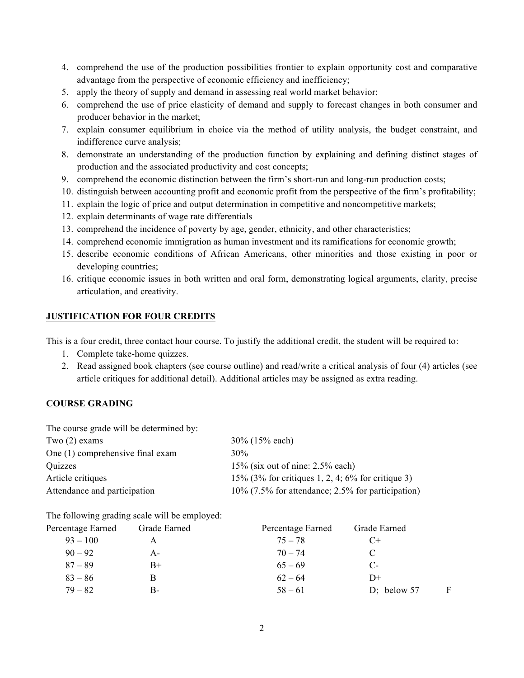- 4. comprehend the use of the production possibilities frontier to explain opportunity cost and comparative advantage from the perspective of economic efficiency and inefficiency;
- 5. apply the theory of supply and demand in assessing real world market behavior;
- 6. comprehend the use of price elasticity of demand and supply to forecast changes in both consumer and producer behavior in the market;
- 7. explain consumer equilibrium in choice via the method of utility analysis, the budget constraint, and indifference curve analysis;
- 8. demonstrate an understanding of the production function by explaining and defining distinct stages of production and the associated productivity and cost concepts;
- 9. comprehend the economic distinction between the firm's short-run and long-run production costs;
- 10. distinguish between accounting profit and economic profit from the perspective of the firm's profitability;
- 11. explain the logic of price and output determination in competitive and noncompetitive markets;
- 12. explain determinants of wage rate differentials
- 13. comprehend the incidence of poverty by age, gender, ethnicity, and other characteristics;
- 14. comprehend economic immigration as human investment and its ramifications for economic growth;
- 15. describe economic conditions of African Americans, other minorities and those existing in poor or developing countries;
- 16. critique economic issues in both written and oral form, demonstrating logical arguments, clarity, precise articulation, and creativity.

### **JUSTIFICATION FOR FOUR CREDITS**

This is a four credit, three contact hour course. To justify the additional credit, the student will be required to:

- 1. Complete take-home quizzes.
- 2. Read assigned book chapters (see course outline) and read/write a critical analysis of four (4) articles (see article critiques for additional detail). Additional articles may be assigned as extra reading.

### **COURSE GRADING**

| The course grade will be determined by: |                                                      |
|-----------------------------------------|------------------------------------------------------|
| Two $(2)$ exams                         | $30\%$ (15% each)                                    |
| One (1) comprehensive final exam        | $30\%$                                               |
| Quizzes                                 | $15\%$ (six out of nine: 2.5% each)                  |
| Article critiques                       | 15% (3% for critiques 1, 2, 4; 6% for critique 3)    |
| Attendance and participation            | $10\%$ (7.5% for attendance; 2.5% for participation) |

The following grading scale will be employed:

| Percentage Earned | Grade Earned | Percentage Earned | Grade Earned  |   |
|-------------------|--------------|-------------------|---------------|---|
| $93 - 100$        |              | $75 - 78$         | $C+$          |   |
| $90 - 92$         | А-           | $70 - 74$         | C             |   |
| $87 - 89$         | B+           | $65 - 69$         | $C-$          |   |
| $83 - 86$         |              | $62 - 64$         | $D+$          |   |
| $79 - 82$         | $B-$         | $58 - 61$         | D; below $57$ | F |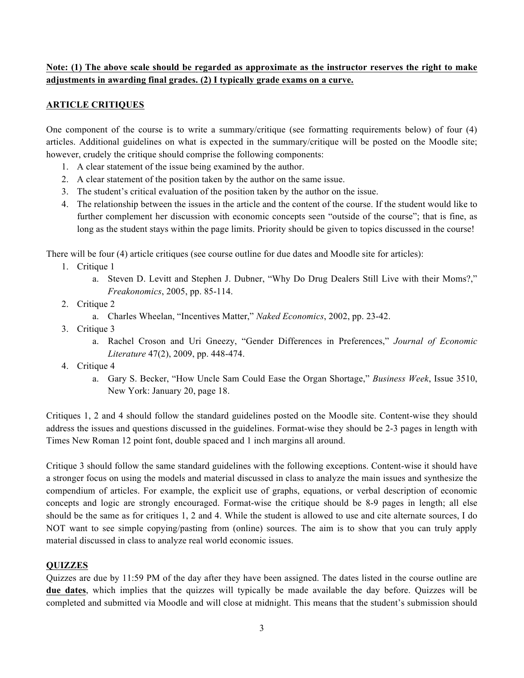## **Note: (1) The above scale should be regarded as approximate as the instructor reserves the right to make adjustments in awarding final grades. (2) I typically grade exams on a curve.**

### **ARTICLE CRITIQUES**

One component of the course is to write a summary/critique (see formatting requirements below) of four (4) articles. Additional guidelines on what is expected in the summary/critique will be posted on the Moodle site; however, crudely the critique should comprise the following components:

- 1. A clear statement of the issue being examined by the author.
- 2. A clear statement of the position taken by the author on the same issue.
- 3. The student's critical evaluation of the position taken by the author on the issue.
- 4. The relationship between the issues in the article and the content of the course. If the student would like to further complement her discussion with economic concepts seen "outside of the course"; that is fine, as long as the student stays within the page limits. Priority should be given to topics discussed in the course!

There will be four (4) article critiques (see course outline for due dates and Moodle site for articles):

- 1. Critique 1
	- a. Steven D. Levitt and Stephen J. Dubner, "Why Do Drug Dealers Still Live with their Moms?," *Freakonomics*, 2005, pp. 85-114.
- 2. Critique 2
	- a. Charles Wheelan, "Incentives Matter," *Naked Economics*, 2002, pp. 23-42.
- 3. Critique 3
	- a. Rachel Croson and Uri Gneezy, "Gender Differences in Preferences," *Journal of Economic Literature* 47(2), 2009, pp. 448-474.
- 4. Critique 4
	- a. Gary S. Becker, "How Uncle Sam Could Ease the Organ Shortage," *Business Week*, Issue 3510, New York: January 20, page 18.

Critiques 1, 2 and 4 should follow the standard guidelines posted on the Moodle site. Content-wise they should address the issues and questions discussed in the guidelines. Format-wise they should be 2-3 pages in length with Times New Roman 12 point font, double spaced and 1 inch margins all around.

Critique 3 should follow the same standard guidelines with the following exceptions. Content-wise it should have a stronger focus on using the models and material discussed in class to analyze the main issues and synthesize the compendium of articles. For example, the explicit use of graphs, equations, or verbal description of economic concepts and logic are strongly encouraged. Format-wise the critique should be 8-9 pages in length; all else should be the same as for critiques 1, 2 and 4. While the student is allowed to use and cite alternate sources, I do NOT want to see simple copying/pasting from (online) sources. The aim is to show that you can truly apply material discussed in class to analyze real world economic issues.

### **QUIZZES**

Quizzes are due by 11:59 PM of the day after they have been assigned. The dates listed in the course outline are **due dates**, which implies that the quizzes will typically be made available the day before. Quizzes will be completed and submitted via Moodle and will close at midnight. This means that the student's submission should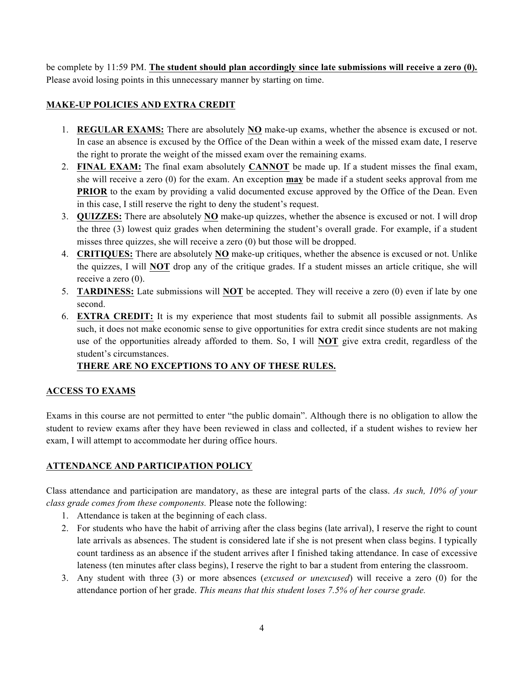be complete by 11:59 PM. **The student should plan accordingly since late submissions will receive a zero (0).** Please avoid losing points in this unnecessary manner by starting on time.

## **MAKE-UP POLICIES AND EXTRA CREDIT**

- 1. **REGULAR EXAMS:** There are absolutely **NO** make-up exams, whether the absence is excused or not. In case an absence is excused by the Office of the Dean within a week of the missed exam date, I reserve the right to prorate the weight of the missed exam over the remaining exams.
- 2. **FINAL EXAM:** The final exam absolutely **CANNOT** be made up. If a student misses the final exam, she will receive a zero (0) for the exam. An exception **may** be made if a student seeks approval from me **PRIOR** to the exam by providing a valid documented excuse approved by the Office of the Dean. Even in this case, I still reserve the right to deny the student's request.
- 3. **QUIZZES:** There are absolutely **NO** make-up quizzes, whether the absence is excused or not. I will drop the three (3) lowest quiz grades when determining the student's overall grade. For example, if a student misses three quizzes, she will receive a zero (0) but those will be dropped.
- 4. **CRITIQUES:** There are absolutely **NO** make-up critiques, whether the absence is excused or not. Unlike the quizzes, I will **NOT** drop any of the critique grades. If a student misses an article critique, she will receive a zero (0).
- 5. **TARDINESS:** Late submissions will **NOT** be accepted. They will receive a zero (0) even if late by one second.
- 6. **EXTRA CREDIT:** It is my experience that most students fail to submit all possible assignments. As such, it does not make economic sense to give opportunities for extra credit since students are not making use of the opportunities already afforded to them. So, I will **NOT** give extra credit, regardless of the student's circumstances.

## **THERE ARE NO EXCEPTIONS TO ANY OF THESE RULES.**

## **ACCESS TO EXAMS**

Exams in this course are not permitted to enter "the public domain". Although there is no obligation to allow the student to review exams after they have been reviewed in class and collected, if a student wishes to review her exam, I will attempt to accommodate her during office hours.

## **ATTENDANCE AND PARTICIPATION POLICY**

Class attendance and participation are mandatory, as these are integral parts of the class. *As such, 10% of your class grade comes from these components.* Please note the following:

- 1. Attendance is taken at the beginning of each class.
- 2. For students who have the habit of arriving after the class begins (late arrival), I reserve the right to count late arrivals as absences. The student is considered late if she is not present when class begins. I typically count tardiness as an absence if the student arrives after I finished taking attendance. In case of excessive lateness (ten minutes after class begins), I reserve the right to bar a student from entering the classroom.
- 3. Any student with three (3) or more absences (*excused or unexcused*) will receive a zero (0) for the attendance portion of her grade. *This means that this student loses 7.5% of her course grade.*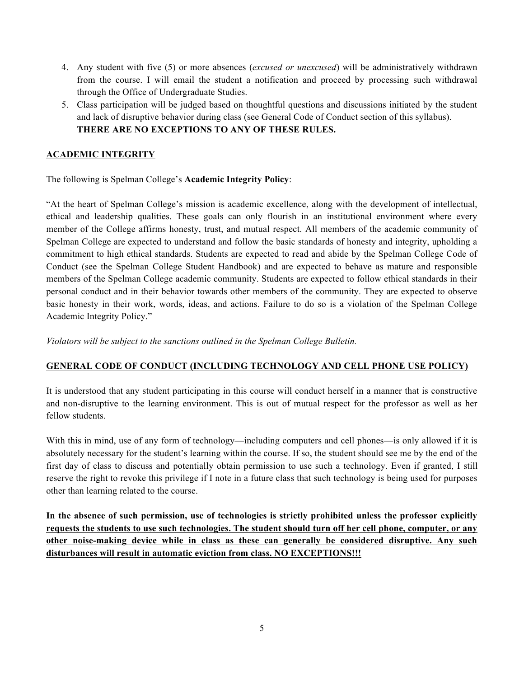- 4. Any student with five (5) or more absences (*excused or unexcused*) will be administratively withdrawn from the course. I will email the student a notification and proceed by processing such withdrawal through the Office of Undergraduate Studies.
- 5. Class participation will be judged based on thoughtful questions and discussions initiated by the student and lack of disruptive behavior during class (see General Code of Conduct section of this syllabus). **THERE ARE NO EXCEPTIONS TO ANY OF THESE RULES.**

### **ACADEMIC INTEGRITY**

The following is Spelman College's **Academic Integrity Policy**:

"At the heart of Spelman College's mission is academic excellence, along with the development of intellectual, ethical and leadership qualities. These goals can only flourish in an institutional environment where every member of the College affirms honesty, trust, and mutual respect. All members of the academic community of Spelman College are expected to understand and follow the basic standards of honesty and integrity, upholding a commitment to high ethical standards. Students are expected to read and abide by the Spelman College Code of Conduct (see the Spelman College Student Handbook) and are expected to behave as mature and responsible members of the Spelman College academic community. Students are expected to follow ethical standards in their personal conduct and in their behavior towards other members of the community. They are expected to observe basic honesty in their work, words, ideas, and actions. Failure to do so is a violation of the Spelman College Academic Integrity Policy."

*Violators will be subject to the sanctions outlined in the Spelman College Bulletin.*

## **GENERAL CODE OF CONDUCT (INCLUDING TECHNOLOGY AND CELL PHONE USE POLICY)**

It is understood that any student participating in this course will conduct herself in a manner that is constructive and non-disruptive to the learning environment. This is out of mutual respect for the professor as well as her fellow students.

With this in mind, use of any form of technology—including computers and cell phones—is only allowed if it is absolutely necessary for the student's learning within the course. If so, the student should see me by the end of the first day of class to discuss and potentially obtain permission to use such a technology. Even if granted, I still reserve the right to revoke this privilege if I note in a future class that such technology is being used for purposes other than learning related to the course.

**In the absence of such permission, use of technologies is strictly prohibited unless the professor explicitly requests the students to use such technologies. The student should turn off her cell phone, computer, or any other noise-making device while in class as these can generally be considered disruptive. Any such disturbances will result in automatic eviction from class. NO EXCEPTIONS!!!**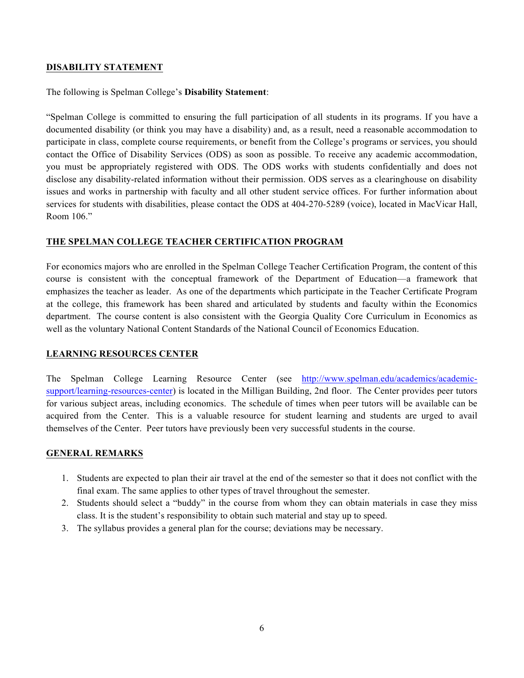### **DISABILITY STATEMENT**

The following is Spelman College's **Disability Statement**:

"Spelman College is committed to ensuring the full participation of all students in its programs. If you have a documented disability (or think you may have a disability) and, as a result, need a reasonable accommodation to participate in class, complete course requirements, or benefit from the College's programs or services, you should contact the Office of Disability Services (ODS) as soon as possible. To receive any academic accommodation, you must be appropriately registered with ODS. The ODS works with students confidentially and does not disclose any disability-related information without their permission. ODS serves as a clearinghouse on disability issues and works in partnership with faculty and all other student service offices. For further information about services for students with disabilities, please contact the ODS at 404-270-5289 (voice), located in MacVicar Hall, Room 106."

### **THE SPELMAN COLLEGE TEACHER CERTIFICATION PROGRAM**

For economics majors who are enrolled in the Spelman College Teacher Certification Program, the content of this course is consistent with the conceptual framework of the Department of Education—a framework that emphasizes the teacher as leader. As one of the departments which participate in the Teacher Certificate Program at the college, this framework has been shared and articulated by students and faculty within the Economics department. The course content is also consistent with the Georgia Quality Core Curriculum in Economics as well as the voluntary National Content Standards of the National Council of Economics Education.

#### **LEARNING RESOURCES CENTER**

The Spelman College Learning Resource Center (see http://www.spelman.edu/academics/academicsupport/learning-resources-center) is located in the Milligan Building, 2nd floor. The Center provides peer tutors for various subject areas, including economics. The schedule of times when peer tutors will be available can be acquired from the Center. This is a valuable resource for student learning and students are urged to avail themselves of the Center. Peer tutors have previously been very successful students in the course.

#### **GENERAL REMARKS**

- 1. Students are expected to plan their air travel at the end of the semester so that it does not conflict with the final exam. The same applies to other types of travel throughout the semester.
- 2. Students should select a "buddy" in the course from whom they can obtain materials in case they miss class. It is the student's responsibility to obtain such material and stay up to speed.
- 3. The syllabus provides a general plan for the course; deviations may be necessary.